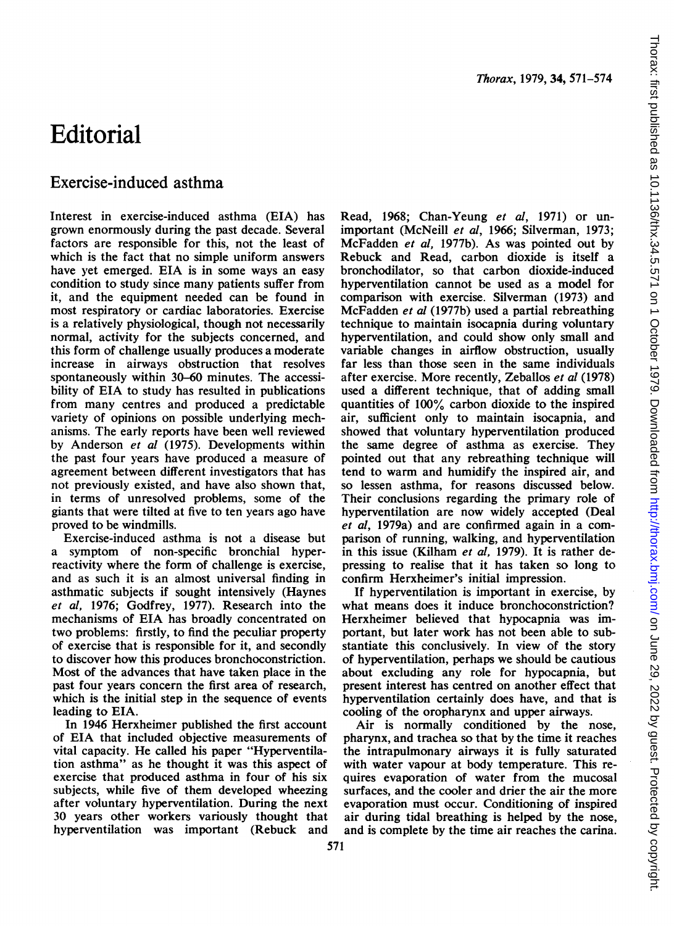## Editorial

## Exercise-induced asthma

Interest in exercise-induced asthma (EIA) has grown enormously during the past decade. Several factors are responsible for this, not the least of which is the fact that no simple uniform answers have yet emerged. EIA is in some ways an easy condition to study since many patients suffer from it, and the equipment needed can be found in most respiratory or cardiac laboratories. Exercise is a relatively physiological, though not necessarily normal, activity for the subjects concerned, and this form of challenge usually produces a moderate increase in airways obstruction that resolves spontaneously within 30-60 minutes. The accessibility of EIA to study has resulted in publications from many centres and produced a predictable variety of opinions on possible underlying mechanisms. The early reports have been well reviewed by Anderson et al (1975). Developments within the past four years have produced a measure of agreement between different investigators that has not previously existed, and have also shown that, in terms of unresolved problems, some of the giants that were tilted at five to ten years ago have proved to be windmills.

Exercise-induced asthma is not a disease but a symptom of non-specific bronchial hyperreactivity where the form of challenge is exercise, and as such it is an almost universal finding in asthmatic subjects if sought intensively (Haynes et al, 1976; Godfrey, 1977). Research into the mechanisms of EIA has broadly concentrated on two problems: firstly, to find the peculiar property of exercise that is responsible for it, and secondly to discover how this produces bronchoconstriction. Most of the advances that have taken place in the past four years concern the first area of research, which is the initial step in the sequence of events leading to EIA.

In 1946 Herxheimer published the first account of EIA that included objective measurements of vital capacity. He called his paper "Hyperventilation asthma" as he thought it was this aspect of exercise that produced asthma in four of his six subjects, while five of them developed wheezing after voluntary hyperventilation. During the next 30 years other workers variously thought that hyperventilation was important (Rebuck and

Read, 1968; Chan-Yeung et al, 1971) or unimportant (McNeill et al, 1966; Silverman, 1973; McFadden et al, 1977b). As was pointed out by Rebuck and Read, carbon dioxide is itself a bronchodilator, so that carbon dioxide-induced hyperventilation cannot be used as a model for comparison with exercise. Silverman (1973) and McFadden et al (1977b) used a partial rebreathing technique to maintain isocapnia during voluntary hyperventilation, and could show only small and variable changes in airflow obstruction, usually far less than those seen in the same individuals after exercise. More recently, Zeballos et al (1978) used a different technique, that of adding small quantities of 100% carbon dioxide to the inspired air, sufficient only to maintain isocapnia, and showed that voluntary hyperventilation produced the same degree of asthma as exercise. They pointed out that any rebreathing technique will tend to warm and humidify the inspired air, and so lessen asthma, for reasons discussed below. Their conclusions regarding the primary role of hyperventilation are now widely accepted (Deal et al, 1979a) and are confirmed again in a comparison of running, walking, and hyperventilation in this issue (Kilham et al, 1979). It is rather depressing to realise that it has taken so long to confirm Herxheimer's initial impression.

If hyperventilation is important in exercise, by what means does it induce bronchoconstriction? Herxheimer believed that hypocapnia was important, but later work has not been able to substantiate this conclusively. In view of the story of hyperventilation, perhaps we should be cautious about excluding any role for hypocapnia, but present interest has centred on another effect that hyperventilation certainly does have, and that is cooling of the oropharynx and upper airways.

Air is normally conditioned by the nose, pharynx, and trachea so that by the time it reaches the intrapulmonary airways it is fully saturated with water vapour at body temperature. This requires evaporation of water from the mucosal surfaces, and the cooler and drier the air the more evaporation must occur. Conditioning of inspired air during tidal breathing is helped by the nose, and is complete by the time air reaches the carina.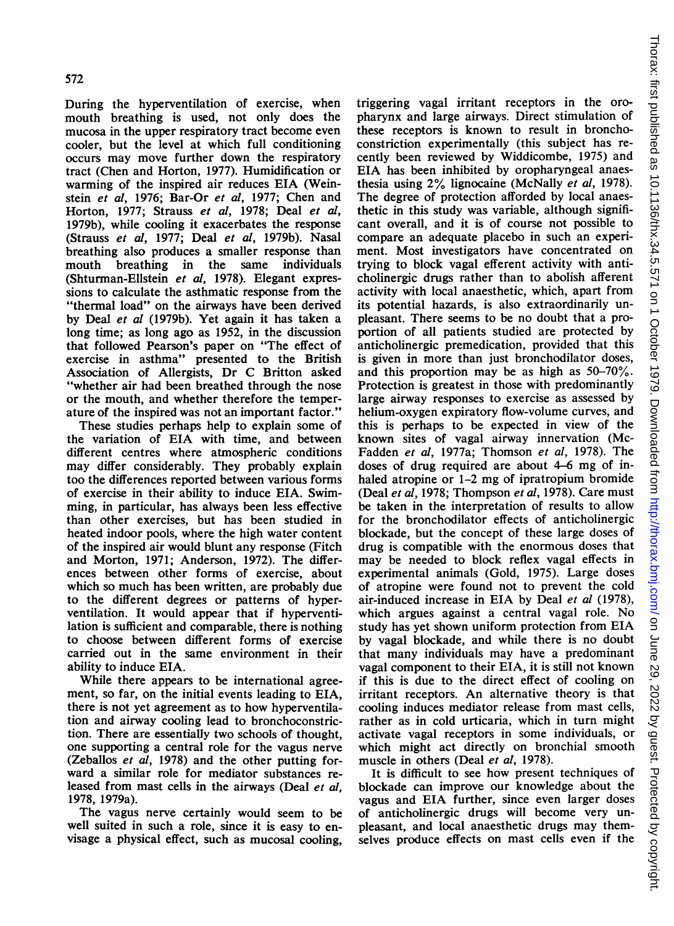During the hyperventilation of exercise, when mouth breathing is used, not only does the mucosa in the upper respiratory tract become even cooler, but the level at which full conditioning occurs may move further down the respiratory tract (Chen and Horton, 1977). Humidification or warming of the inspired air reduces EIA (Weinstein et al, 1976; Bar-Or et al, 1977; Chen and Horton, 1977; Strauss et al, 1978; Deal et al, 1979b), while cooling it exacerbates the response (Strauss et al, 1977; Deal et al, 1979b). Nasal breathing also produces a smaller response than mouth breathing in the same individuals (Shturman-Ellstein et al, 1978). Elegant expressions to calculate the asthmatic response from the "thermal load" on the airways have been derived by Deal et al (1979b). Yet again it has taken a long time; as long ago as 1952, in the discussion that followed Pearson's paper on "The effect of exercise in asthma" presented to the British Association of Allergists, Dr C Britton asked "whether air had been breathed through the nose or the mouth, and whether therefore the temperature of the inspired was not an important factor."

These studies perhaps help to explain some of the variation of EIA with time, and between different centres where atmospheric conditions may differ considerably. They probably explain too the differences reported between various forms of exercise in their ability to induce EIA. Swimming, in particular, has always been less effective than other exercises, but has been studied in heated indoor pools, where the high water content of the inspired air would blunt any response (Fitch and Morton, 1971; Anderson, 1972). The differences between other forms of exercise, about which so much has been written, are probably due to the different degrees or patterns of hyperventilation. It would appear that if hyperventilation is sufficient and comparable, there is nothing to choose between different forms of exercise carried out in the same environment in their ability to induce EIA.

While there appears to be international agreement, so far, on the initial events leading to EIA, there is not yet agreement as to how hyperventilation and airway cooling lead to bronchoconstriction. There are essentially two schools of thought, one supporting a central role for the vagus nerve (Zeballos et al, 1978) and the other putting forward a similar role for mediator substances released from mast cells in the airways (Deal et al, 1978, 1979a).

The vagus nerve certainly would seem to be well suited in such a role, since it is easy to envisage a physical effect, such as mucosal cooling,

triggering vagal irritant receptors in the oropharynx and large airways. Direct stimulation of these receptors is known to result in bronchoconstriction experimentally (this subject has recently been reviewed by Widdicombe, 1975) and EIA has been inhibited by oropharyngeal anaesthesia using 2% lignocaine (McNally et al, 1978). The degree of protection afforded by local anaesthetic in this study was variable, although significant overall, and it is of course not possible to compare an adequate placebo in such an experiment. Most investigators have concentrated on trying to block vagal efferent activity with anticholinergic drugs rather than to abolish afferent activity with local anaesthetic, which, apart from its potential hazards, is also extraordinarily unpleasant. There seems to be no doubt that a proportion of all patients studied are protected by anticholinergic premedication, provided that this is given in more than just bronchodilator doses, and this proportion may be as high as 50-70%. Protection is greatest in those with predominantly large airway responses to exercise as assessed by helium-oxygen expiratory flow-volume curves, and this is perhaps to be expected in view of the known sites of vagal airway innervation (Mc-Fadden et al, 1977a; Thomson et al, 1978). The doses of drug required are about 4-6 mg of inhaled atropine or 1–2 mg of ipratropium bromide (Deal et al, 1978; Thompson et al, 1978). Care must be taken in the interpretation of results to allow for the bronchodilator effects of anticholinergic blockade, but the concept of these large doses of drug is compatible with the enormous doses that may be needed to block reflex vagal effects in experimental animals (Gold, 1975). Large doses of atropine were found not to prevent the cold air-induced increase in EIA by Deal et al (1978), which argues against <sup>a</sup> central vagal role. No study has yet shown uniform protection from EIA by vagal blockade, and while there is no doubt that many individuals may have a predominant vagal component to their EIA, it is still not known if this is due to the direct effect of cooling on irritant receptors. An alternative theory is that cooling induces mediator release from mast cells, rather as in cold urticaria, which in turn might activate vagal receptors in some individuals, or which might act directly on bronchial smooth muscle in others (Deal et al, 1978).

It is difficult to see how present techniques of blockade can improve our knowledge about the vagus and EIA further, since even larger doses of anticholinergic drugs will become very unpleasant, and local anaesthetic drugs may themselves produce effects on mast cells even if the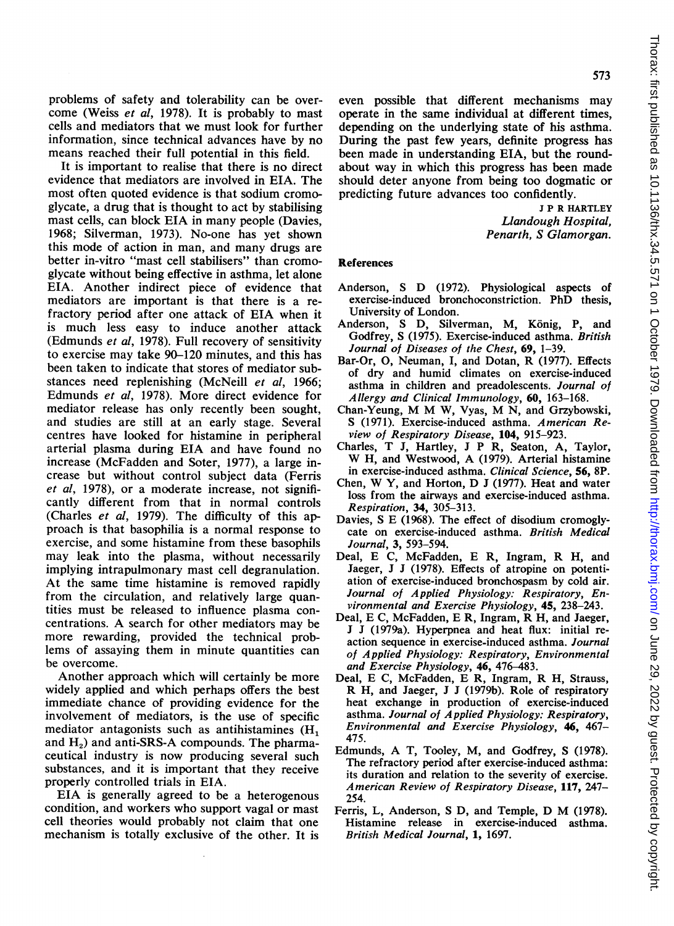problems of safety and tolerability can be overcome (Weiss et al, 1978). It is probably to mast cells and mediators that we must look for further information, since technical advances have by no means reached their full potential in this field.

It is important to realise that there is no direct evidence that mediators are involved in EIA. The most often quoted evidence is that sodium cromoglycate, a drug that is thought to act by stabilising mast cells, can block EIA in many people (Davies, 1968; Silverman, 1973). No-one has yet shown this mode of action in man, and many drugs are better in-vitro "mast cell stabilisers" than cromoglycate without being effective in asthma, let alone EIA. Another indirect piece of evidence that mediators are important is that there is a refractory period after one attack of EIA when it is much less easy to induce another attack (Edmunds et al, 1978). Full recovery of sensitivity to exercise may take 90-120 minutes, and this has been taken to indicate that stores of mediator substances need replenishing (McNeill et al, 1966; Edmunds et al, 1978). More direct evidence for mediator release has only recently been sought, and studies are still at an early stage. Several centres have looked for histamine in peripheral arterial plasma during EIA and have found no increase (McFadden and Soter, 1977), a large increase but without control subject data (Ferris et al, 1978), or a moderate increase, not significantly different from that in normal controls (Charles et al, 1979). The difficulty of this approach is that basophilia is a normal response to exercise, and some histamine from these basophils may leak into the plasma, without necessarily implying intrapulmonary mast cell degranulation. At the same time histamine is removed rapidly from the circulation, and relatively large quantities must be released to influence plasma concentrations. A search for other mediators may be more rewarding, provided the technical problems of assaying them in minute quantities can be overcome.

Another approach which will certainly be more widely applied and which perhaps offers the best immediate chance of providing evidence for the involvement of mediators, is the use of specific mediator antagonists such as antihistamines (H<sub>1</sub> and  $H<sub>2</sub>$ ) and anti-SRS-A compounds. The pharmaceutical industry is now producing several such substances, and it is important that they receive properly controlled trials in EIA.

EIA is generally agreed to be a heterogenous condition, and workers who support vagal or mast cell theories would probably not claim that one mechanism is totally exclusive of the other. It is even possible that different mechanisms may operate in the same individual at different times, depending on the underlying state of his asthma. During the past few years, definite progress has been made in understanding EIA, but the roundabout way in which this progress has been made should deter anyone from being too dogmatic or predicting future advances too confidently.

> <sup>J</sup> P R HARTLEY Llandough Hospital, Penarth, S Glamorgan.

## **References**

- Anderson, <sup>S</sup> D (1972). Physiological aspects of exercise-induced bronchoconstriction. PhD thesis, University of London.
- Anderson, S. D. Silverman, M. König, P. and Godfrey, S (1975). Exercise-induced asthma. British Journal of Diseases of the Chest, 69, 1-39.
- Bar-Or, 0, Neuman, I, and Dotan, R (1977). Effects of dry and humid climates on exercise-induced asthma in children and preadolescents. Journal of Allergy and Clinical Immunology, 60, 163-168.
- Chan-Yeung, M M W, Vyas, M N, and Grzybowski, S (1971). Exercise-induced asthma. American Review of Respiratory Disease, 104, 915-923.
- Charles, T J, Hartley, <sup>J</sup> P R, Seaton, A, Taylor, W H, and Westwood, A (1979). Arterial histamine in exercise-induced asthma. Clinical Science, 56, 8P.
- Chen, W Y, and Horton, D <sup>J</sup> (1977). Heat and water loss from the airways and exercise-induced asthma. Respiration, 34, 305-313.
- Davies, S E (1968). The effect of disodium cromoglycate on exercise-induced asthma. British Medical Journal, 3, 593-594.
- Deal, E C, McFadden, E R, Ingram, R H, and Jaeger, J J (1978). Effects of atropine on potentiation of exercise-induced bronchospasm by cold air. Journal of Applied Physiology: Respiratory, Environmental and Exercise Physiology, 45, 238-243.
- Deal, E C, McFadden, E R, Ingram, R H, and Jaeger, J J (1979a). Hyperpnea and heat flux: initial reaction sequence in exercise-induced asthma. Journal of Applied Physiology: Respiratory, Environmental and Exercise Physiology, 46, 476-483.
- Deal, E C, McFadden, E R, Ingram, R H, Strauss, R H, and Jaeger, J J (1979b). Role of respiratory heat exchange in production of exercise-induced asthma. Journal of Applied Physiology: Respiratory, Environmental and Exercise Physiology, 46, 467- 475.
- Edmunds, A T, Tooley, M, and Godfrey, <sup>S</sup> (1978). The refractory period after exercise-induced asthma: its duration and relation to the severity of exercise. American Review of Respiratory Disease, 117, 247- 254.
- Ferris, L, Anderson, <sup>S</sup> D, and Temple, D M (1978). Histamine release in exercise-induced asthma. British Medical Journal, 1, 1697.